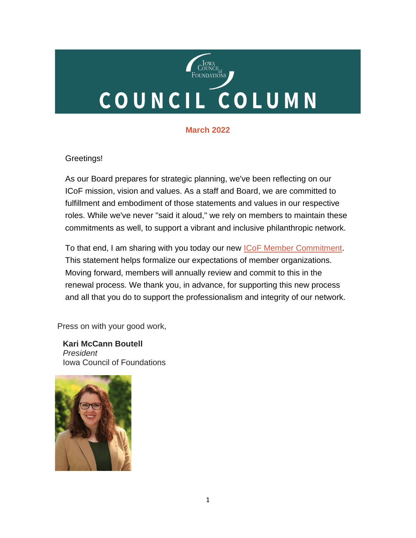# COUNCIL<br>Foundations COUNCIL COLUMN

# **March 2022**

## Greetings!

As our Board prepares for strategic planning, we've been reflecting on our ICoF mission, vision and values. As a staff and Board, we are committed to fulfillment and embodiment of those statements and values in our respective roles. While we've never "said it aloud," we rely on members to maintain these commitments as well, to support a vibrant and inclusive philanthropic network.

To that end, I am sharing with you today our new *ICoF Member Commitment*. This statement helps formalize our expectations of member organizations. Moving forward, members will annually review and commit to this in the renewal process. We thank you, in advance, for supporting this new process and all that you do to support the professionalism and integrity of our network.

Press on with your good work,

 **Kari McCann Boutell** *President* Iowa Council of Foundations

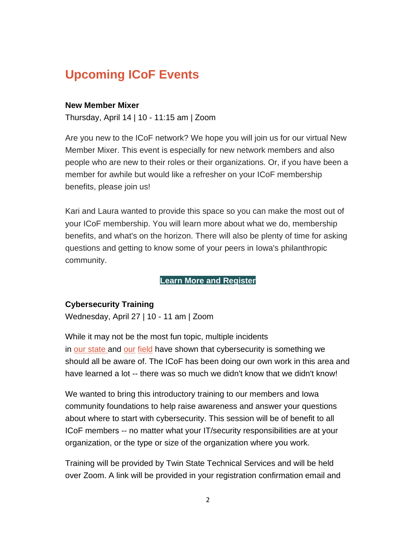# **Upcoming ICoF Events**

## **New Member Mixer**

Thursday, April 14 | 10 - 11:15 am | Zoom

Are you new to the ICoF network? We hope you will join us for our virtual New Member Mixer. This event is especially for new network members and also people who are new to their roles or their organizations. Or, if you have been a member for awhile but would like a refresher on your ICoF membership benefits, please join us!

Kari and Laura wanted to provide this space so you can make the most out of your ICoF membership. You will learn more about what we do, membership benefits, and what's on the horizon. There will also be plenty of time for asking questions and getting to know some of your peers in Iowa's philanthropic community.

## **[Learn More and Register](https://icof.wildapricot.org/event-4757188)**

## **Cybersecurity Training**

Wednesday, April 27 | 10 - 11 am | Zoom

While it may not be the most fun topic, multiple incidents in [our](https://philanthropynewsdigest.org/features/techsoup-pnd/nonprofits-beware-you-can-get-hacked-too) [state](https://www.desmoinesregister.com/story/money/agriculture/2021/09/20/russia-linked-cyberattack-blackmatter-ransomware-iowa-grain-cooperative/5788957001/) and our [field](https://www.independent.co.uk/news/business/news/george-soros-emails-published-by-russian-hackers-us-security-services-dcleaks-wikileaks-a7192396.html) have shown that cybersecurity is something we should all be aware of. The ICoF has been doing our own work in this area and have learned a lot -- there was so much we didn't know that we didn't know!

We wanted to bring this introductory training to our members and Iowa community foundations to help raise awareness and answer your questions about where to start with cybersecurity. This session will be of benefit to all ICoF members -- no matter what your IT/security responsibilities are at your organization, or the type or size of the organization where you work.

Training will be provided by Twin State Technical Services and will be held over Zoom. A link will be provided in your registration confirmation email and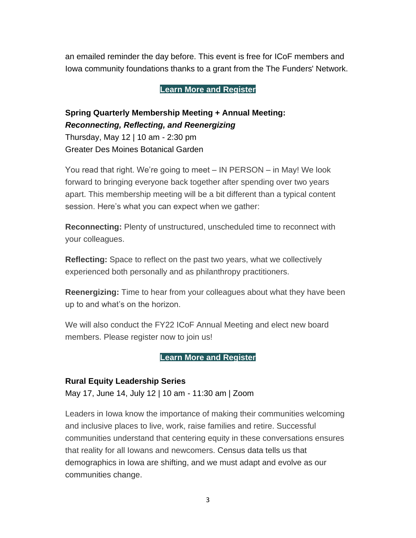an emailed reminder the day before. This event is free for ICoF members and Iowa community foundations thanks to a grant from the The Funders' Network.

## **[Learn More and Register](https://icof.wildapricot.org/event-4720722)**

# **Spring Quarterly Membership Meeting + Annual Meeting:** *Reconnecting, Reflecting, and Reenergizing*

Thursday, May 12 | 10 am - 2:30 pm Greater Des Moines Botanical Garden

You read that right. We're going to meet – IN PERSON – in May! We look forward to bringing everyone back together after spending over two years apart. This membership meeting will be a bit different than a typical content session. Here's what you can expect when we gather:

**Reconnecting:** Plenty of unstructured, unscheduled time to reconnect with your colleagues.

**Reflecting:** Space to reflect on the past two years, what we collectively experienced both personally and as philanthropy practitioners.

**Reenergizing:** Time to hear from your colleagues about what they have been up to and what's on the horizon.

We will also conduct the FY22 ICoF Annual Meeting and elect new board members. Please register now to join us!

**[Learn More and Register](https://icof.wildapricot.org/event-4693038)**

## **Rural Equity Leadership Series**

May 17, June 14, July 12 | 10 am - 11:30 am | Zoom

Leaders in Iowa know the importance of making their communities welcoming and inclusive places to live, work, raise families and retire. Successful communities understand that centering equity in these conversations ensures that reality for all Iowans and newcomers. Census data tells us that demographics in Iowa are shifting, and we must adapt and evolve as our communities change.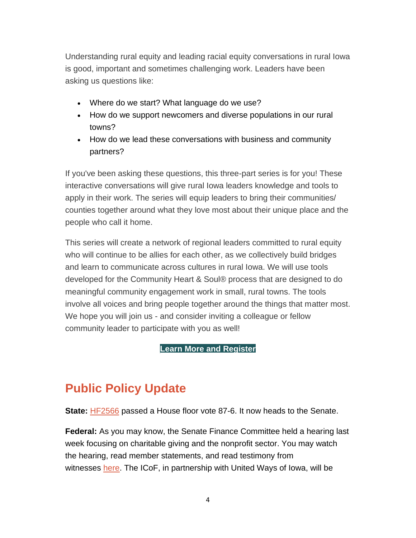Understanding rural equity and leading racial equity conversations in rural Iowa is good, important and sometimes challenging work. Leaders have been asking us questions like:

- Where do we start? What language do we use?
- How do we support newcomers and diverse populations in our rural towns?
- How do we lead these conversations with business and community partners?

If you've been asking these questions, this three-part series is for you! These interactive conversations will give rural Iowa leaders knowledge and tools to apply in their work. The series will equip leaders to bring their communities/ counties together around what they love most about their unique place and the people who call it home.

This series will create a network of regional leaders committed to rural equity who will continue to be allies for each other, as we collectively build bridges and learn to communicate across cultures in rural Iowa. We will use tools developed for the Community Heart & Soul® process that are designed to do meaningful community engagement work in small, rural towns. The tools involve all voices and bring people together around the things that matter most. We hope you will join us - and consider inviting a colleague or fellow community leader to participate with you as well!

## **[Learn More and Register](https://icof.wildapricot.org/event-4669692)**

# **Public Policy Update**

**State:** [HF2566](https://www.legis.iowa.gov/legislation/BillBook?ga=89&ba=HF%202566) passed a House floor vote 87-6. It now heads to the Senate.

**Federal:** As you may know, the Senate Finance Committee held a hearing last week focusing on charitable giving and the nonprofit sector. You may watch the hearing, read member statements, and read testimony from witnesses [here.](https://www.finance.senate.gov/hearings/examining-charitable-giving-and-trends-in-the-nonprofit-sector) The ICoF, in partnership with United Ways of Iowa, will be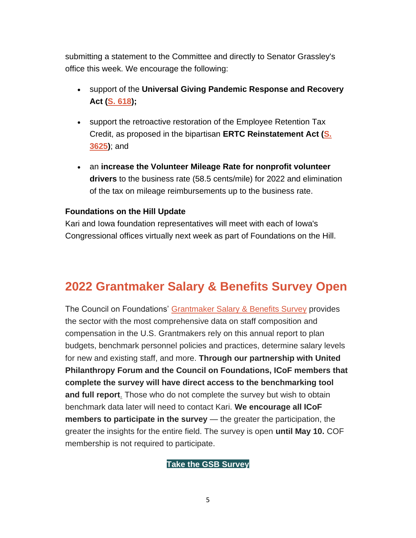submitting a statement to the Committee and directly to Senator Grassley's office this week. We encourage the following:

- support of the **Universal Giving Pandemic Response and Recovery Act [\(S. 618\)](https://www.congress.gov/bill/117th-congress/senate-bill/618);**
- support the retroactive restoration of the Employee Retention Tax Credit, as proposed in the bipartisan **ERTC Reinstatement Act [\(S.](https://www.congress.gov/bill/117th-congress/senate-bill/3625)  [3625\)](https://www.congress.gov/bill/117th-congress/senate-bill/3625)**; and
- an **increase the Volunteer Mileage Rate for nonprofit volunteer drivers** to the business rate (58.5 cents/mile) for 2022 and elimination of the tax on mileage reimbursements up to the business rate.

## **Foundations on the Hill Update**

Kari and Iowa foundation representatives will meet with each of Iowa's Congressional offices virtually next week as part of Foundations on the Hill.

# **2022 Grantmaker Salary & Benefits Survey Open**

The Council on Foundations' [Grantmaker Salary & Benefits Survey](https://www.cof.org/content/2022-grantmaker-salary-and-benefits-survey-gsb) provides the sector with the most comprehensive data on staff composition and compensation in the U.S. Grantmakers rely on this annual report to plan budgets, benchmark personnel policies and practices, determine salary levels for new and existing staff, and more. **Through our partnership with United Philanthropy Forum and the Council on Foundations, ICoF members that complete the survey will have direct access to the benchmarking tool and full report**. Those who do not complete the survey but wish to obtain benchmark data later will need to contact Kari. **We encourage all ICoF members to participate in the survey** — the greater the participation, the greater the insights for the entire field. The survey is open **until May 10.** COF membership is not required to participate.

## **[Take the GSB Survey](https://www.cof.org/content/2022-grantmaker-salary-and-benefits-survey-gsb)**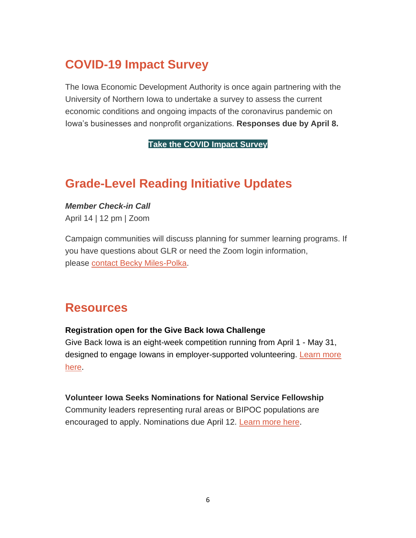# **COVID-19 Impact Survey**

The Iowa Economic Development Authority is once again partnering with the University of Northern Iowa to undertake a survey to assess the current economic conditions and ongoing impacts of the coronavirus pandemic on Iowa's businesses and nonprofit organizations. **Responses due by April 8.**

**[Take the COVID Impact Survey](https://uni.co1.qualtrics.com/jfe/form/SV_egMMlUr25eYYY3s)**

# **Grade-Level Reading Initiative Updates**

*Member Check-in Call*

April 14 | 12 pm | Zoom

Campaign communities will discuss planning for summer learning programs. If you have questions about GLR or need the Zoom login information, please [contact Becky Miles-Polka.](mailto:bmilespolka@gradelevelreading.net)

# **Resources**

## **Registration open for the Give Back Iowa Challenge**

Give Back Iowa is an eight-week competition running from April 1 - May 31, designed to engage Iowans in employer-supported volunteering. Learn more [here.](https://volunteerchallenge.iowa.gov/volunteer-challenge-employer-registration)

## **Volunteer Iowa Seeks Nominations for National Service Fellowship**

Community leaders representing rural areas or BIPOC populations are encouraged to apply. Nominations due April 12. [Learn more here](https://www.volunteeriowa.org/press-release/2022-03-21/volunteer-iowa-seeks-nominees-national-service-fellowship).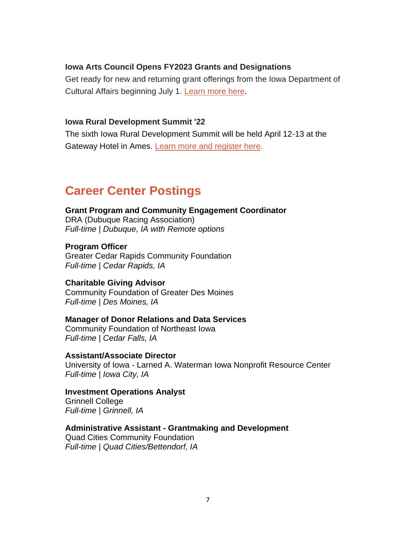#### **Iowa Arts Council Opens FY2023 Grants and Designations**

Get ready for new and returning grant offerings from the Iowa Department of Cultural Affairs beginning July 1. [Learn more here](https://www.iowaculture.gov/about-us/about/grants).

#### **Iowa Rural Development Summit '22**

The sixth Iowa Rural Development Summit will be held April 12-13 at the Gateway Hotel in Ames. [Learn more and register here.](https://iowardc.org/summit/)

# **Career Center Postings**

#### **Grant Program and Community Engagement Coordinator**

DRA (Dubuque Racing Association) *Full-time | Dubuque, IA with Remote options*

**Program Officer** Greater Cedar Rapids Community Foundation *Full-time | Cedar Rapids, IA*

#### **Charitable Giving Advisor**

Community Foundation of Greater Des Moines *Full-time | Des Moines, IA*

#### **Manager of Donor Relations and Data Services**

Community Foundation of Northeast Iowa *Full-time | Cedar Falls, IA*

**Assistant/Associate Director** University of Iowa - Larned A. Waterman Iowa Nonprofit Resource Center *Full-time | Iowa City, IA*

## **Investment Operations Analyst**

Grinnell College *Full-time | Grinnell, IA*

#### **Administrative Assistant - Grantmaking and Development**

Quad Cities Community Foundation *Full-time | Quad Cities/Bettendorf, IA*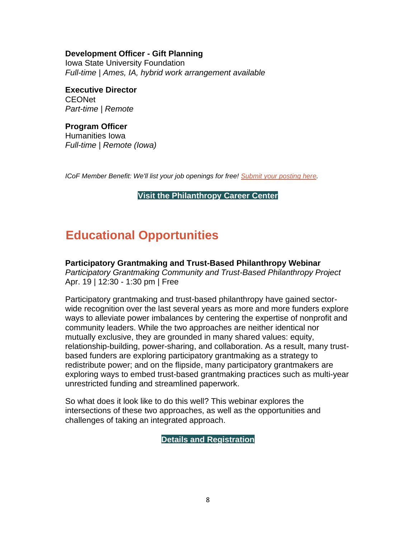**Development Officer - Gift Planning**

Iowa State University Foundation *Full-time | Ames, IA, hybrid work arrangement available*

**Executive Director** CEONet *Part-time | Remote*

**Program Officer** Humanities Iowa *Full-time | Remote (Iowa)*

*ICoF Member Benefit: We'll list your job openings for free! [Submit your posting here.](https://iowacounciloffoundations.org/submit-job/)*

**[Visit the Philanthropy Career Center](http://iowacounciloffoundations.org/career-center/)**

# **Educational Opportunities**

**Participatory Grantmaking and Trust-Based Philanthropy Webinar**

*Participatory Grantmaking Community and Trust-Based Philanthropy Project* Apr. 19 | 12:30 - 1:30 pm | Free

Participatory grantmaking and trust-based philanthropy have gained sectorwide recognition over the last several years as more and more funders explore ways to alleviate power imbalances by centering the expertise of nonprofit and community leaders. While the two approaches are neither identical nor mutually exclusive, they are grounded in many shared values: equity, relationship-building, power-sharing, and collaboration. As a result, many trustbased funders are exploring participatory grantmaking as a strategy to redistribute power; and on the flipside, many participatory grantmakers are exploring ways to embed trust-based grantmaking practices such as multi-year unrestricted funding and streamlined paperwork.

So what does it look like to do this well? This webinar explores the intersections of these two approaches, as well as the opportunities and challenges of taking an integrated approach.

**[Details and Registration](https://www.trustbasedphilanthropy.org/events/2022/4-19/tbp-pgm-joint-webinar)**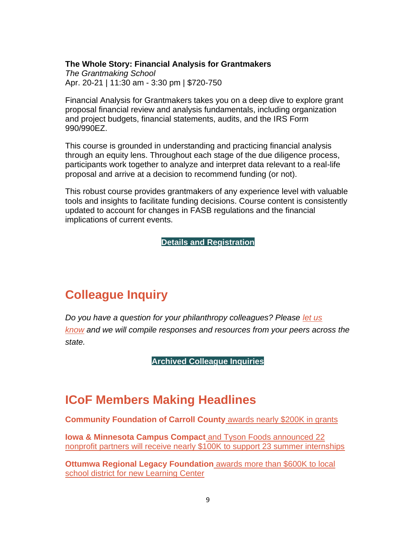#### **The Whole Story: Financial Analysis for Grantmakers**

*The Grantmaking School* Apr. 20-21 | 11:30 am - 3:30 pm | \$720-750

Financial Analysis for Grantmakers takes you on a deep dive to explore grant proposal financial review and analysis fundamentals, including organization and project budgets, financial statements, audits, and the IRS Form 990/990EZ.

This course is grounded in understanding and practicing financial analysis through an equity lens. Throughout each stage of the due diligence process, participants work together to analyze and interpret data relevant to a real-life proposal and arrive at a decision to recommend funding (or not).

This robust course provides grantmakers of any experience level with valuable tools and insights to facilitate funding decisions. Course content is consistently updated to account for changes in FASB regulations and the financial implications of current events.

**[Details and Registration](https://johnsoncenter.org/event/tgs042022/)**

# **Colleague Inquiry**

*Do you have a question for your philanthropy colleagues? Please [let us](mailto:info@iowacounciloffoundations.org?subject=Colleague%20Inquiry%20Request)  [know](mailto:info@iowacounciloffoundations.org?subject=Colleague%20Inquiry%20Request) and we will compile responses and resources from your peers across the state.*

**[Archived Colleague Inquiries](http://iowacounciloffoundations.org/administration/)**

# **ICoF Members Making Headlines**

**[Community Foundation of Carroll County](https://www.1380kcim.com/2022/02/23/community-foundation-of-carroll-county-awards-nearly-200000-in-2022-grants/)** awards nearly \$200K in grants

**[Iowa & Minnesota Campus Compact](https://iacampuscompact.org/resource-posts/campus-compact-and-tyson-foods-announce-2022-partners/)** and Tyson Foods announced 22 [nonprofit partners will receive nearly \\$100K to support 23 summer internships](https://iacampuscompact.org/resource-posts/campus-compact-and-tyson-foods-announce-2022-partners/)

**[Ottumwa Regional Legacy Foundation](https://www.ottumwacourier.com/news/legacy-donates-to-new-ocsd-learning-center/article_556a57fa-a0b9-11ec-989d-37f9c42f4f88.html)** awards more than \$600K to local [school district for new Learning Center](https://www.ottumwacourier.com/news/legacy-donates-to-new-ocsd-learning-center/article_556a57fa-a0b9-11ec-989d-37f9c42f4f88.html)